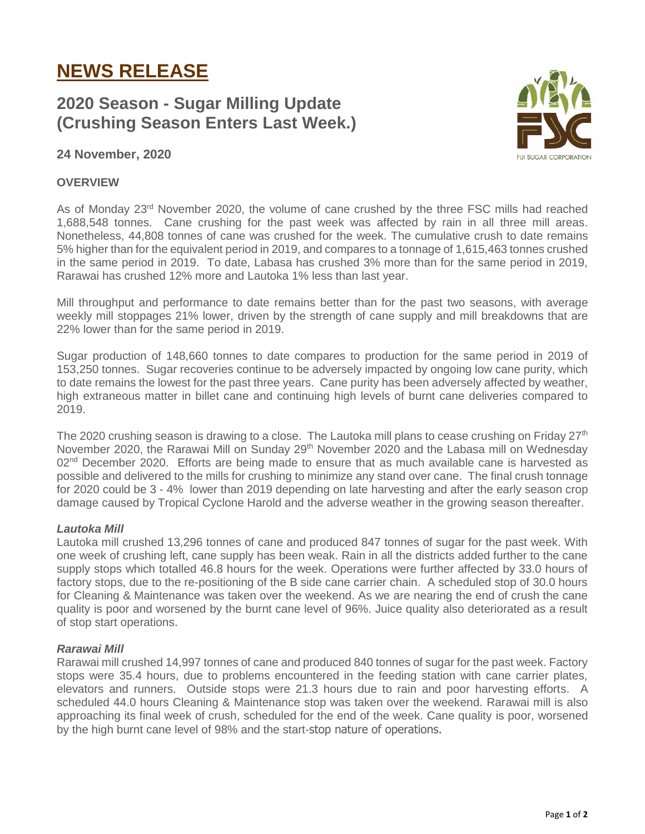# **NEWS RELEASE**

# **2020 Season - Sugar Milling Update (Crushing Season Enters Last Week.)**

# **24 November, 2020**

### **OVERVIEW**

As of Monday 23<sup>rd</sup> November 2020, the volume of cane crushed by the three FSC mills had reached 1,688,548 tonnes. Cane crushing for the past week was affected by rain in all three mill areas. Nonetheless, 44,808 tonnes of cane was crushed for the week. The cumulative crush to date remains 5% higher than for the equivalent period in 2019, and compares to a tonnage of 1,615,463 tonnes crushed in the same period in 2019. To date, Labasa has crushed 3% more than for the same period in 2019, Rarawai has crushed 12% more and Lautoka 1% less than last year.

Mill throughput and performance to date remains better than for the past two seasons, with average weekly mill stoppages 21% lower, driven by the strength of cane supply and mill breakdowns that are 22% lower than for the same period in 2019.

Sugar production of 148,660 tonnes to date compares to production for the same period in 2019 of 153,250 tonnes. Sugar recoveries continue to be adversely impacted by ongoing low cane purity, which to date remains the lowest for the past three years. Cane purity has been adversely affected by weather, high extraneous matter in billet cane and continuing high levels of burnt cane deliveries compared to 2019.

The 2020 crushing season is drawing to a close. The Lautoka mill plans to cease crushing on Friday 27<sup>th</sup> November 2020, the Rarawai Mill on Sunday 29<sup>th</sup> November 2020 and the Labasa mill on Wednesday  $02<sup>nd</sup>$  December 2020. Efforts are being made to ensure that as much available cane is harvested as possible and delivered to the mills for crushing to minimize any stand over cane. The final crush tonnage for 2020 could be 3 - 4% lower than 2019 depending on late harvesting and after the early season crop damage caused by Tropical Cyclone Harold and the adverse weather in the growing season thereafter.

#### *Lautoka Mill*

Lautoka mill crushed 13,296 tonnes of cane and produced 847 tonnes of sugar for the past week. With one week of crushing left, cane supply has been weak. Rain in all the districts added further to the cane supply stops which totalled 46.8 hours for the week. Operations were further affected by 33.0 hours of factory stops, due to the re-positioning of the B side cane carrier chain. A scheduled stop of 30.0 hours for Cleaning & Maintenance was taken over the weekend. As we are nearing the end of crush the cane quality is poor and worsened by the burnt cane level of 96%. Juice quality also deteriorated as a result of stop start operations.

#### *Rarawai Mill*

Rarawai mill crushed 14,997 tonnes of cane and produced 840 tonnes of sugar for the past week. Factory stops were 35.4 hours, due to problems encountered in the feeding station with cane carrier plates, elevators and runners. Outside stops were 21.3 hours due to rain and poor harvesting efforts. A scheduled 44.0 hours Cleaning & Maintenance stop was taken over the weekend. Rarawai mill is also approaching its final week of crush, scheduled for the end of the week. Cane quality is poor, worsened by the high burnt cane level of 98% and the start-stop nature of operations.